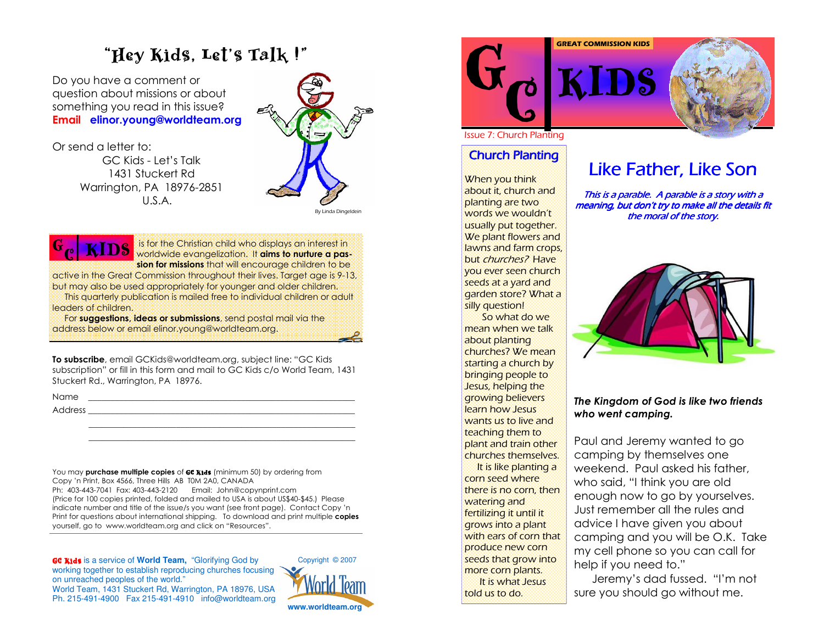#### ""Hey Kids, Let's Talk !"

Do you have a comment or question about missions or about something you read in this issue? Email elinor.young@worldteam.org

Or send a letter to: GC Kids - Let's Talk 1431 Stuckert Rd Warrington, PA 18976-2851  $U.S.A.$ 



By Linda Dingeldein



is for the Christian child who displays an interest in **ALLUD** worldwide evangelization. It aims to nurture a passion for missions that will encourage children to be sion for missions that will encourage children to be

active in the Great Commission throughout their lives. Target age is 9-13, but may also be used appropriately for younger and older children.

This quarterly publication is mailed free to individual children or adult leaders of children.

For **suggestions, ideas or submissions**, send postal mail via the address below or email elinor.young@worldteam.org.

**To subscribe**, email GCKids@worldteam.org, subject line: "GC Kids subscription" or fill in this form and mail to GC Kids c/o World Team, 1431 Stuckert Rd., Warrington, PA 18976.

Name

) ?????????????????????????????????????????????????????????????

You may **purchase multiple copies** of **GC Kids** (minimum 50) by ordering from Copy 'n Print, Box 4566, Three Hills AB T0M 2A0, CANADA

("B#""#,B"! 76"B#""#.!.B G H8 44
1 (Price for 100 copies printed, folded and mailed to USA is about US\$40-\$45.) Please indicate number and title of the issue/s you want (see front page). Contact Copy 'n Print for questions about international shipping. To download and print multiple copies yourself, go to www.worldteam.org and click on "Resources".

GC Kids is <sup>a</sup> service of **World Team,** "Glorifying God by working together to establish reproducing churches focusing on unreached peoples of the world." World Team, 1431 Stuckert Rd, Warrington, PA 18976, U SAPh. 215-491-4900 Fax 215-491-4910 info@ worldteam.org





Issue 7: Church Planting

## **Church Planting**

When you think about it, church and planting are two words we wouldn't usually put together. We plant flowers and lawns and farm crops, but *churches?* Have you ever seen church seeds at a yard and garden store? What a silly question!

So what do we mean when we talk about planting churches? We mean starting a church by bringing people to Jesus, helping the <u>growing believers</u> learn how Jesus wants us to live and teaching them to plant and train other churches themselves. lt is like planting a corn seed where

there is no corn, then <mark>watering and</mark> fertilizing it until it grows into a plant with ears of corn that produce new corn seeds that grow into more corn plants. It is what Jesus

told us to do.

## Like Father, Like Son

This is a parable. A parable is a story with a meaning, but don't try to make all the details fit the moral of the story.



#### The Kingdom of God is like two friends who went camping.

Paul and Jeremy wanted to go camping by themselves one weekend. Paul asked his father, who said, "I think you are old enough now to go by yourselves. Just remember all the rules and advice I have given you about camping and you will be O.K. Take my cell phone so you can call for help if you need to."

Jeremy's dad fussed. "I'm not sure you should go without me.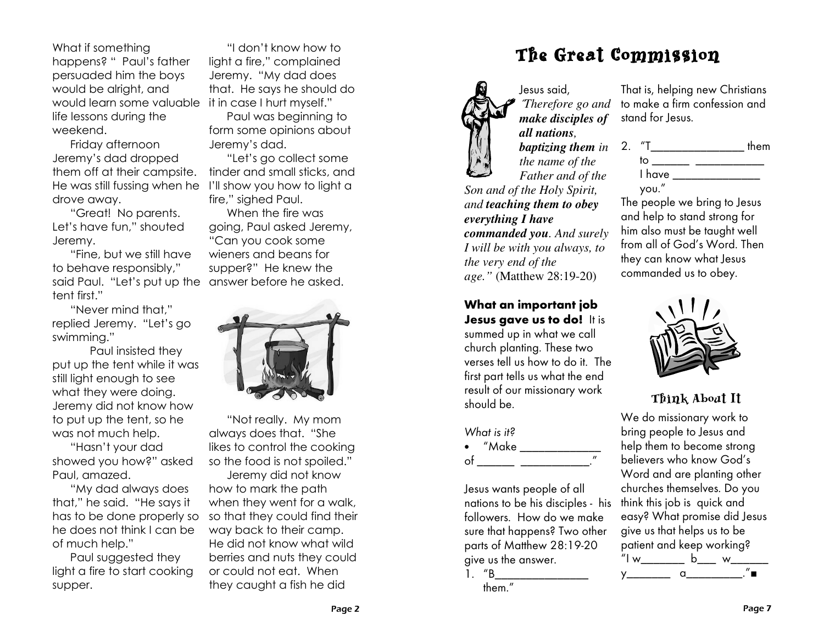What if something happens? " Paul's father persuaded him the boys would be alright, and would learn some valuable it in case I hurt myself." life lessons during the weekend.

Friday afternoon Jeremy's dad dropped them off at their campsite. He was still fussing when he I'll show you how to light a drove away.

"Great! No parents. Let's have fun," shouted Jeremy.

"Fine, but we still have to behave responsibly," said Paul. "Let's put up the answer before he asked. tent first."

"Never mind that." replied Jeremy. "Let's go swimmina."

Paul insisted they put up the tent while it was still light enough to see what they were doing. Jeremy did not know how to put up the tent, so he was not much help.

"Hasn't your dad showed you how?" asked Paul, amazed.

"My dad always does that," he said. "He says it has to be done properly so he does not think I can be of much help."

Paul suggested they light a fire to start cooking supper.

"I don't know how to light a fire," complained Jeremy. "My dad does that. He says he should do

Paul was beginning to form some opinions about Jeremy's dad.

"Let's go collect some tinder and small sticks, and fire." sighed Paul.

When the fire was going, Paul asked Jeremy, "Can you cook some wieners and beans for supper?" He knew the



"Not really. My mom always does that. "She likes to control the cooking so the food is not spoiled."

Jeremy did not know how to mark the path when they went for a walk, so that they could find their way back to their camp. He did not know what wild berries and nuts they could or could not eat. When they caught a fish he did



Jesus said. That is, helping new Christians to make a firm confession and Therefore go and make disciples of all nations. the name of the Father and of the

Son and of the Holy Spirit, and teaching them to obey everything I have commanded you. And surely I will be with you always, to the very end of the *age.*" (Matthew 28:19-20)

### What an important job Jesus gave us to do! It is

summed up in what we call church planting. These two verses tell us how to do it. The first part tells us what the end result of our missionary work should be.

Jesus wants people of all nations to be his disciples - his followers. How do we make sure that happens? Two other parts of Matthew 28:19-20 give us the answer.

 $1.$  "B them."

## The Great Commission

stand for Jesus. *baptizing them in*  $2.$   $T$ <sub>\_\_\_\_\_\_\_\_\_\_\_\_\_\_\_\_\_\_\_\_\_\_\_\_\_ them</sub> I have a state of the state of the state of the state of the state of the state of the state of the state of the state of the state of the state of the state of the state of the state of the state of the state of the state you."

The people we bring to Jesus and help to stand strong for him also must be taught well from all of God's Word. Then they can know what Jesus commanded us to obey.



## Think About It

We do missionary work to bring people to Jesus and help them to become strong believers who know God's Word and are planting other churches themselves. Do you think this job is quick and easy? What promise did Jesus give us that helps us to be patient and keep working?  $^{\frac{1}{n}}$  w b  $\frac{1}{n}$  w  $\frac{1}{n}$  $y$  and  $y$ 

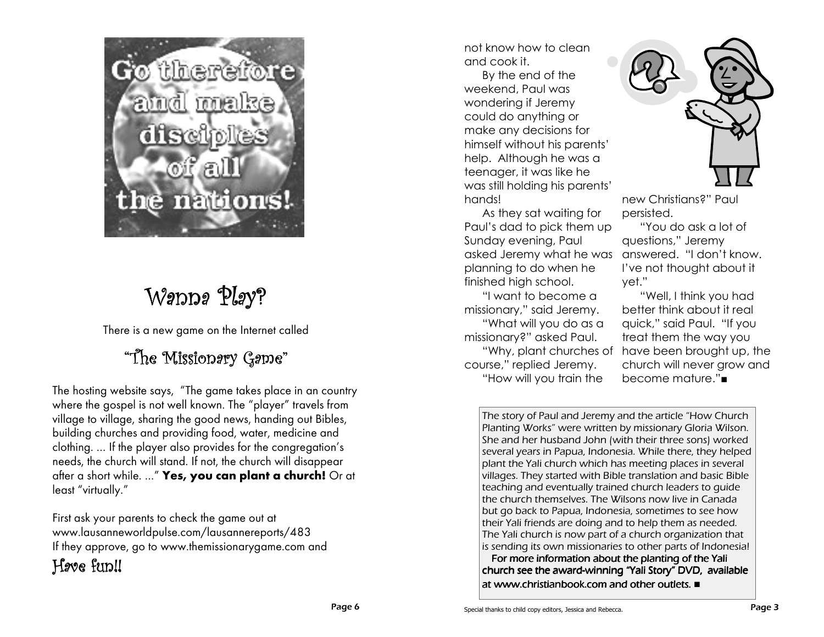

# Wanna Play?

There is a new game on the Internet called

# "The Missionery Geme"

The hosting website says, "The game takes place in an country where the gospel is not well known. The "player" travels from village to village, sharing the good news, handing out Bibles, building churches and providing food, water, medicine and clothing. ... If the player also provides for the congregation's needs, the church will stand. If not, the church will disappear after a short while. ..." Yes, you can plant a church! Or at least "virtually."

First ask your parents to check the game out at www.lausanneworldpulse.com/lausannereports/483 If they approve, go to www.themissionarygame.com and

## Hove fun!!

not know how to clean and cook it.

By the end of the weekend, Paul was wondering if Jeremy could do anything or make any decisions for himself without his parents' help. Although he was a teenager, it was like he was still holding his parents' hands!

As they sat waiting for Paul's dad to pick them up Sunday evening, Paul asked Jeremy what he was answered. "I don't know. planning to do when he finished high school.

"I want to become a missionary," said Jeremy. "What will you do as a missionary?" asked Paul. course," replied Jeremy. "How will you train the



new Christians?" Paul persisted.

"You do ask a lot of questions," Jeremy I've not thought about it yet."

"Well. I think you had better think about it real quick," said Paul. "If you treat them the way you "Why, plant churches of have been brought up, the church will never grow and become mature."■

The story of Paul and Jeremy and the article "How Church" Planting Works" were written by missionary Gloria Wilson. She and her husband John (with their three sons) worked several years in Papua, Indonesia. While there, they helped plant the Yali church which has meeting places in several villages. They started with Bible translation and basic Bible teaching and eventually trained church leaders to quide the church themselves. The Wilsons now live in Canada but go back to Papua, Indonesia, sometimes to see how their Yali friends are doing and to help them as needed. The Yali church is now part of a church organization that is sending its own missionaries to other parts of Indonesia!

For more information about the planting of the Yali church see the award-winning "Yali Story" DVD, available at www.christianbook.com and other outlets. ■